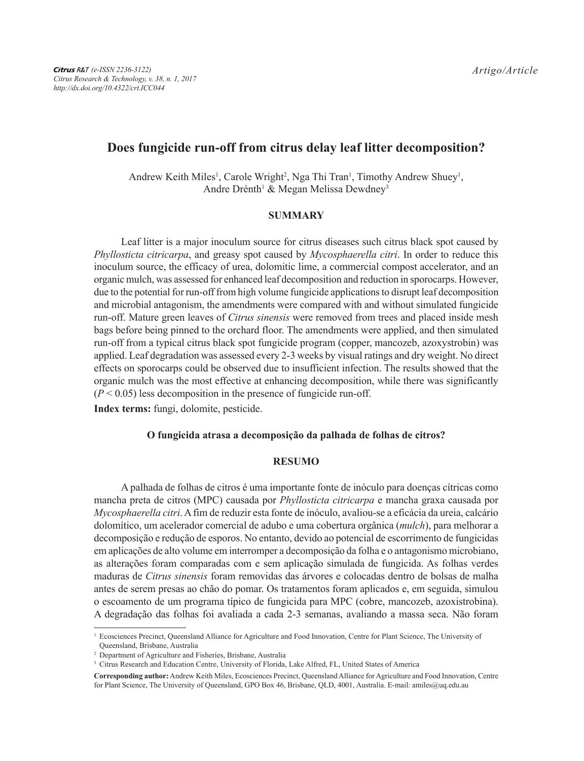# **Does fungicide run-off from citrus delay leaf litter decomposition?**

Andrew Keith Miles<sup>1</sup>, Carole Wright<sup>2</sup>, Nga Thi Tran<sup>1</sup>, Timothy Andrew Shuey<sup>1</sup>, Andre Drénth<sup>1</sup> & Megan Melissa Dewdney<sup>3</sup>

# **SUMMARY**

Leaf litter is a major inoculum source for citrus diseases such citrus black spot caused by *Phyllosticta citricarpa*, and greasy spot caused by *Mycosphaerella citri*. In order to reduce this inoculum source, the efficacy of urea, dolomitic lime, a commercial compost accelerator, and an organic mulch, was assessed for enhanced leaf decomposition and reduction in sporocarps. However, due to the potential for run-off from high volume fungicide applications to disrupt leaf decomposition and microbial antagonism, the amendments were compared with and without simulated fungicide run-off. Mature green leaves of *Citrus sinensis* were removed from trees and placed inside mesh bags before being pinned to the orchard floor. The amendments were applied, and then simulated run-off from a typical citrus black spot fungicide program (copper, mancozeb, azoxystrobin) was applied. Leaf degradation was assessed every 2-3 weeks by visual ratings and dry weight. No direct effects on sporocarps could be observed due to insufficient infection. The results showed that the organic mulch was the most effective at enhancing decomposition, while there was significantly  $(P < 0.05)$  less decomposition in the presence of fungicide run-off.

**Index terms:** fungi, dolomite, pesticide.

## **O fungicida atrasa a decomposição da palhada de folhas de citros?**

#### **RESUMO**

A palhada de folhas de citros é uma importante fonte de inóculo para doenças cítricas como mancha preta de citros (MPC) causada por *Phyllosticta citricarpa* e mancha graxa causada por *Mycosphaerella citri*. A fim de reduzir esta fonte de inóculo, avaliou-se a eficácia da ureia, calcário dolomítico, um acelerador comercial de adubo e uma cobertura orgânica (*mulch*), para melhorar a decomposição e redução de esporos. No entanto, devido ao potencial de escorrimento de fungicidas em aplicações de alto volume em interromper a decomposição da folha e o antagonismo microbiano, as alterações foram comparadas com e sem aplicação simulada de fungicida. As folhas verdes maduras de *Citrus sinensis* foram removidas das árvores e colocadas dentro de bolsas de malha antes de serem presas ao chão do pomar. Os tratamentos foram aplicados e, em seguida, simulou o escoamento de um programa típico de fungicida para MPC (cobre, mancozeb, azoxistrobina). A degradação das folhas foi avaliada a cada 2-3 semanas, avaliando a massa seca. Não foram

<sup>&</sup>lt;sup>1</sup> Ecosciences Precinct, Queensland Alliance for Agriculture and Food Innovation, Centre for Plant Science, The University of Queensland, Brisbane, Australia

<sup>2</sup> Department of Agriculture and Fisheries, Brisbane, Australia

<sup>&</sup>lt;sup>3</sup> Citrus Research and Education Centre, University of Florida, Lake Alfred, FL, United States of America

**Corresponding author:** Andrew Keith Miles, Ecosciences Precinct, Queensland Alliance for Agriculture and Food Innovation, Centre for Plant Science, The University of Queensland, GPO Box 46, Brisbane, OLD, 4001, Australia. E-mail: amiles@uq.edu.au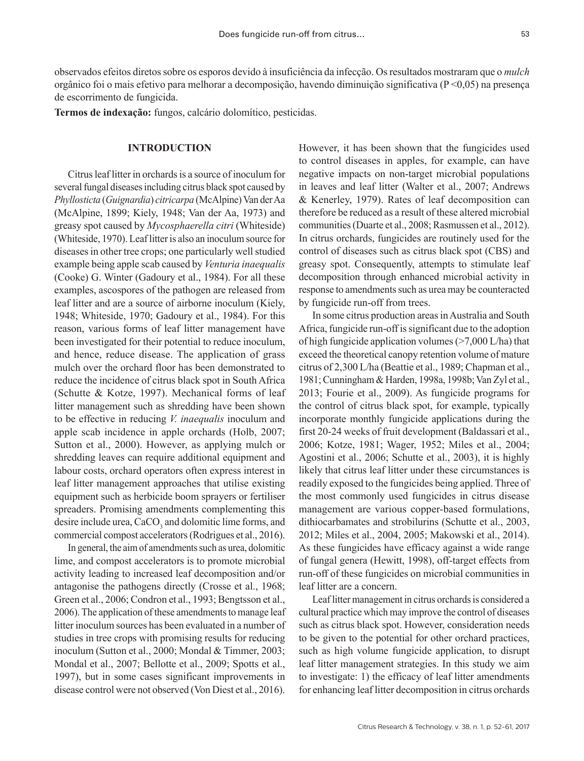observados efeitos diretos sobre os esporos devido à insuficiência da infecção. Os resultados mostraram que o *mulch* orgânico foi o mais efetivo para melhorar a decomposição, havendo diminuição significativa (P <0,05) na presença de escorrimento de fungicida.

**Termos de indexação:** fungos, calcário dolomítico, pesticidas.

#### **INTRODUCTION**

Citrus leaf litter in orchards is a source of inoculum for several fungal diseases including citrus black spot caused by *Phyllosticta* (*Guignardia*) *citricarpa* (McAlpine) Van derAa (McAlpine, 1899; Kiely, 1948; Van der Aa, 1973) and greasy spot caused by *Mycosphaerella citri* (Whiteside) (Whiteside, 1970). Leaf litter is also an inoculum source for diseases in other tree crops; one particularly well studied example being apple scab caused by *Venturia inaequalis* (Cooke) G. Winter (Gadoury et al., 1984). For all these examples, ascospores of the pathogen are released from leaf litter and are a source of airborne inoculum (Kiely, 1948; Whiteside, 1970; Gadoury et al., 1984). For this reason, various forms of leaf litter management have been investigated for their potential to reduce inoculum, and hence, reduce disease. The application of grass mulch over the orchard floor has been demonstrated to reduce the incidence of citrus black spot in South Africa (Schutte & Kotze, 1997). Mechanical forms of leaf litter management such as shredding have been shown to be effective in reducing *V. inaequalis* inoculum and apple scab incidence in apple orchards (Holb, 2007; Sutton et al., 2000). However, as applying mulch or shredding leaves can require additional equipment and labour costs, orchard operators often express interest in leaf litter management approaches that utilise existing equipment such as herbicide boom sprayers or fertiliser spreaders. Promising amendments complementing this desire include urea, CaCO<sub>3</sub> and dolomitic lime forms, and commercial compost accelerators (Rodrigues et al., 2016).

In general, the aim of amendments such as urea, dolomitic lime, and compost accelerators is to promote microbial activity leading to increased leaf decomposition and/or antagonise the pathogens directly (Crosse et al., 1968; Green et al., 2006; Condron et al., 1993; Bengtsson et al., 2006). The application of these amendments to manage leaf litter inoculum sources has been evaluated in a number of studies in tree crops with promising results for reducing inoculum (Sutton et al., 2000; Mondal & Timmer, 2003; Mondal et al., 2007; Bellotte et al., 2009; Spotts et al., 1997), but in some cases significant improvements in disease control were not observed (Von Diest et al., 2016).

However, it has been shown that the fungicides used to control diseases in apples, for example, can have negative impacts on non-target microbial populations in leaves and leaf litter (Walter et al., 2007; Andrews & Kenerley, 1979). Rates of leaf decomposition can therefore be reduced as a result of these altered microbial communities (Duarte et al., 2008; Rasmussen et al., 2012). In citrus orchards, fungicides are routinely used for the control of diseases such as citrus black spot (CBS) and greasy spot. Consequently, attempts to stimulate leaf decomposition through enhanced microbial activity in response to amendments such as urea may be counteracted by fungicide run-off from trees.

In some citrus production areas in Australia and South Africa, fungicide run-off is significant due to the adoption of high fungicide application volumes  $($ >7,000 L/ha) that exceed the theoretical canopy retention volume of mature citrus of 2,300 L/ha (Beattie et al., 1989; Chapman et al., 1981; Cunningham & Harden, 1998a, 1998b; Van Zyl et al., 2013; Fourie et al., 2009). As fungicide programs for the control of citrus black spot, for example, typically incorporate monthly fungicide applications during the first 20-24 weeks of fruit development (Baldassari et al., 2006; Kotze, 1981; Wager, 1952; Miles et al., 2004; Agostini et al., 2006; Schutte et al., 2003), it is highly likely that citrus leaf litter under these circumstances is readily exposed to the fungicides being applied. Three of the most commonly used fungicides in citrus disease management are various copper-based formulations, dithiocarbamates and strobilurins (Schutte et al., 2003, 2012; Miles et al., 2004, 2005; Makowski et al., 2014). As these fungicides have efficacy against a wide range of fungal genera (Hewitt, 1998), off-target effects from run-off of these fungicides on microbial communities in leaf litter are a concern.

Leaf litter management in citrus orchards is considered a cultural practice which may improve the control of diseases such as citrus black spot. However, consideration needs to be given to the potential for other orchard practices, such as high volume fungicide application, to disrupt leaf litter management strategies. In this study we aim to investigate: 1) the efficacy of leaf litter amendments for enhancing leaf litter decomposition in citrus orchards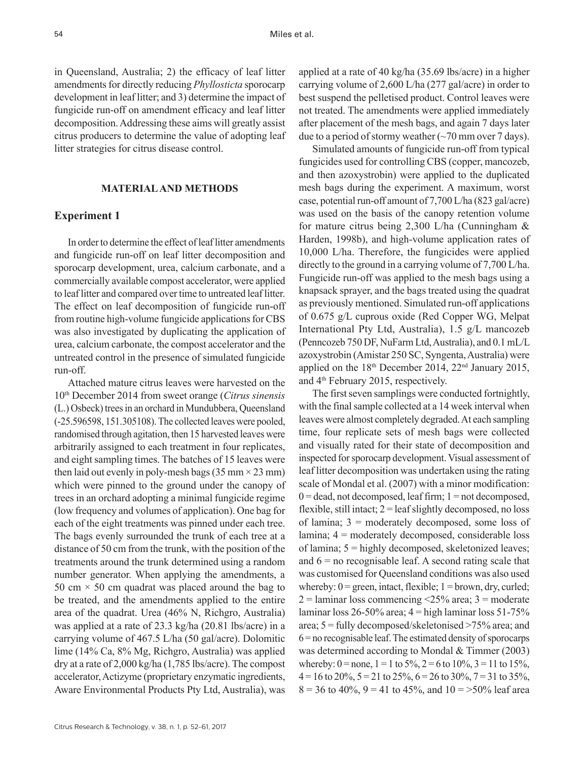in Queensland, Australia; 2) the efficacy of leaf litter amendments for directly reducing *Phyllosticta* sporocarp development in leaf litter; and 3) determine the impact of fungicide run-off on amendment efficacy and leaf litter decomposition. Addressing these aims will greatly assist citrus producers to determine the value of adopting leaf litter strategies for citrus disease control.

# **MATERIAL AND METHODS**

## **Experiment 1**

In order to determine the effect of leaf litter amendments and fungicide run-off on leaf litter decomposition and sporocarp development, urea, calcium carbonate, and a commercially available compost accelerator, were applied to leaf litter and compared over time to untreated leaf litter. The effect on leaf decomposition of fungicide run-off from routine high-volume fungicide applications for CBS was also investigated by duplicating the application of urea, calcium carbonate, the compost accelerator and the untreated control in the presence of simulated fungicide run-off.

Attached mature citrus leaves were harvested on the 10th December 2014 from sweet orange (*Citrus sinensis* (L.) Osbeck) trees in an orchard in Mundubbera, Queensland (-25.596598, 151.305108). The collected leaves were pooled, randomised through agitation, then 15 harvested leaves were arbitrarily assigned to each treatment in four replicates, and eight sampling times. The batches of 15 leaves were then laid out evenly in poly-mesh bags (35 mm  $\times$  23 mm) which were pinned to the ground under the canopy of trees in an orchard adopting a minimal fungicide regime (low frequency and volumes of application). One bag for each of the eight treatments was pinned under each tree. The bags evenly surrounded the trunk of each tree at a distance of 50 cm from the trunk, with the position of the treatments around the trunk determined using a random number generator. When applying the amendments, a 50 cm  $\times$  50 cm quadrat was placed around the bag to be treated, and the amendments applied to the entire area of the quadrat. Urea (46% N, Richgro, Australia) was applied at a rate of 23.3 kg/ha (20.81 lbs/acre) in a carrying volume of 467.5 L/ha (50 gal/acre). Dolomitic lime (14% Ca, 8% Mg, Richgro, Australia) was applied dry at a rate of 2,000 kg/ha (1,785 lbs/acre). The compost accelerator, Actizyme (proprietary enzymatic ingredients, Aware Environmental Products Pty Ltd, Australia), was

Citrus Research & Technology, v. 38, n. 1, p. 52-61, 2017

applied at a rate of 40 kg/ha (35.69 lbs/acre) in a higher carrying volume of 2,600 L/ha (277 gal/acre) in order to best suspend the pelletised product. Control leaves were not treated. The amendments were applied immediately after placement of the mesh bags, and again 7 days later due to a period of stormy weather  $(\sim 70 \text{ mm over } 7 \text{ days})$ .

Simulated amounts of fungicide run-off from typical fungicides used for controlling CBS (copper, mancozeb, and then azoxystrobin) were applied to the duplicated mesh bags during the experiment. A maximum, worst case, potential run-off amount of 7,700 L/ha (823 gal/acre) was used on the basis of the canopy retention volume for mature citrus being 2,300 L/ha (Cunningham & Harden, 1998b), and high-volume application rates of 10,000 L/ha. Therefore, the fungicides were applied directly to the ground in a carrying volume of 7,700 L/ha. Fungicide run-off was applied to the mesh bags using a knapsack sprayer, and the bags treated using the quadrat as previously mentioned. Simulated run-off applications of 0.675 g/L cuprous oxide (Red Copper WG, Melpat International Pty Ltd, Australia), 1.5 g/L mancozeb (Penncozeb 750 DF, NuFarm Ltd, Australia), and 0.1 mL/L azoxystrobin (Amistar 250 SC, Syngenta, Australia) were applied on the  $18<sup>th</sup>$  December 2014,  $22<sup>nd</sup>$  January 2015, and 4th February 2015, respectively.

The first seven samplings were conducted fortnightly, with the final sample collected at a 14 week interval when leaves were almost completely degraded. At each sampling time, four replicate sets of mesh bags were collected and visually rated for their state of decomposition and inspected for sporocarp development. Visual assessment of leaf litter decomposition was undertaken using the rating scale of Mondal et al. (2007) with a minor modification:  $0 =$  dead, not decomposed, leaf firm;  $1 =$  not decomposed, flexible, still intact;  $2 =$  leaf slightly decomposed, no loss of lamina;  $3 =$  moderately decomposed, some loss of lamina; 4 = moderately decomposed, considerable loss of lamina; 5 = highly decomposed, skeletonized leaves; and  $6 =$  no recognisable leaf. A second rating scale that was customised for Queensland conditions was also used whereby:  $0 =$  green, intact, flexible;  $1 =$  brown, dry, curled;  $2 =$ laminar loss commencing <25% area;  $3 =$  moderate laminar loss  $26-50\%$  area;  $4 =$ high laminar loss  $51-75\%$ area; 5 = fully decomposed/skeletonised >75% area; and 6 = no recognisable leaf. The estimated density of sporocarps was determined according to Mondal & Timmer (2003) whereby:  $0 =$  none,  $1 = 1$  to  $5\%, 2 = 6$  to  $10\%, 3 = 11$  to  $15\%,$  $4 = 16$  to 20%,  $5 = 21$  to 25%,  $6 = 26$  to 30%,  $7 = 31$  to 35%,  $8 = 36$  to 40%,  $9 = 41$  to 45%, and  $10 = 50\%$  leaf area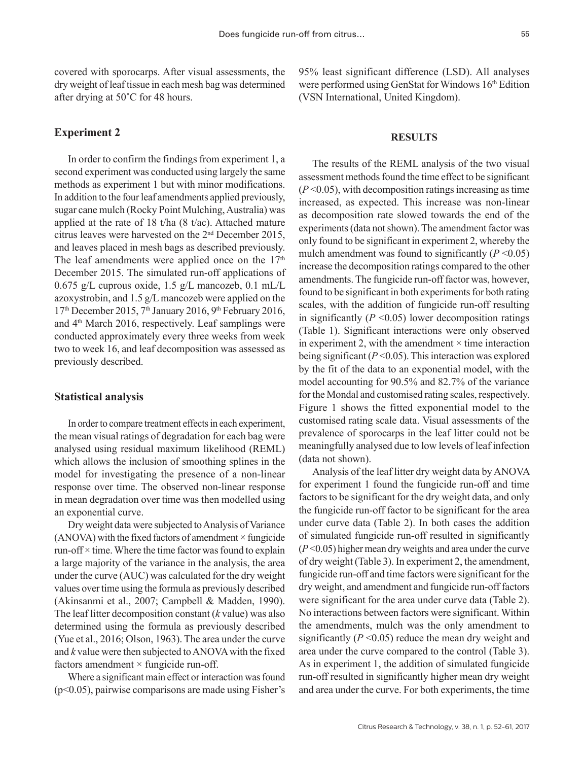covered with sporocarps. After visual assessments, the dry weight of leaf tissue in each mesh bag was determined after drying at 50˚C for 48 hours.

# **Experiment 2**

In order to confirm the findings from experiment 1, a second experiment was conducted using largely the same methods as experiment 1 but with minor modifications. In addition to the four leaf amendments applied previously, sugar cane mulch (Rocky Point Mulching, Australia) was applied at the rate of 18 t/ha (8 t/ac). Attached mature citrus leaves were harvested on the  $2<sup>nd</sup>$  December 2015, and leaves placed in mesh bags as described previously. The leaf amendments were applied once on the  $17<sup>th</sup>$ December 2015. The simulated run-off applications of 0.675 g/L cuprous oxide, 1.5 g/L mancozeb, 0.1 mL/L azoxystrobin, and 1.5 g/L mancozeb were applied on the  $17<sup>th</sup>$  December 2015,  $7<sup>th</sup>$  January 2016,  $9<sup>th</sup>$  February 2016, and 4th March 2016, respectively. Leaf samplings were conducted approximately every three weeks from week two to week 16, and leaf decomposition was assessed as previously described.

#### **Statistical analysis**

In order to compare treatment effects in each experiment, the mean visual ratings of degradation for each bag were analysed using residual maximum likelihood (REML) which allows the inclusion of smoothing splines in the model for investigating the presence of a non-linear response over time. The observed non-linear response in mean degradation over time was then modelled using an exponential curve.

Dry weight data were subjected to Analysis of Variance  $(ANOVA)$  with the fixed factors of amendment  $\times$  fungicide run-off  $\times$  time. Where the time factor was found to explain a large majority of the variance in the analysis, the area under the curve (AUC) was calculated for the dry weight values over time using the formula as previously described (Akinsanmi et al., 2007; Campbell & Madden, 1990). The leaf litter decomposition constant (*k* value) was also determined using the formula as previously described (Yue et al., 2016; Olson, 1963). The area under the curve and *k* value were then subjected to ANOVA with the fixed factors amendment  $\times$  fungicide run-off.

Where a significant main effect or interaction was found (p<0.05), pairwise comparisons are made using Fisher's 95% least significant difference (LSD). All analyses were performed using GenStat for Windows 16<sup>th</sup> Edition (VSN International, United Kingdom).

# **RESULTS**

The results of the REML analysis of the two visual assessment methods found the time effect to be significant  $(P<0.05)$ , with decomposition ratings increasing as time increased, as expected. This increase was non-linear as decomposition rate slowed towards the end of the experiments (data not shown). The amendment factor was only found to be significant in experiment 2, whereby the mulch amendment was found to significantly  $(P \le 0.05)$ increase the decomposition ratings compared to the other amendments. The fungicide run-off factor was, however, found to be significant in both experiments for both rating scales, with the addition of fungicide run-off resulting in significantly  $(P \le 0.05)$  lower decomposition ratings (Table 1). Significant interactions were only observed in experiment 2, with the amendment  $\times$  time interaction being significant (*P* <0.05). This interaction was explored by the fit of the data to an exponential model, with the model accounting for 90.5% and 82.7% of the variance for the Mondal and customised rating scales, respectively. Figure 1 shows the fitted exponential model to the customised rating scale data. Visual assessments of the prevalence of sporocarps in the leaf litter could not be meaningfully analysed due to low levels of leaf infection (data not shown).

Analysis of the leaf litter dry weight data by ANOVA for experiment 1 found the fungicide run-off and time factors to be significant for the dry weight data, and only the fungicide run-off factor to be significant for the area under curve data (Table 2). In both cases the addition of simulated fungicide run-off resulted in significantly (*P* <0.05) higher mean dry weights and area under the curve of dry weight (Table 3). In experiment 2, the amendment, fungicide run-off and time factors were significant for the dry weight, and amendment and fungicide run-off factors were significant for the area under curve data (Table 2). No interactions between factors were significant. Within the amendments, mulch was the only amendment to significantly  $(P \le 0.05)$  reduce the mean dry weight and area under the curve compared to the control (Table 3). As in experiment 1, the addition of simulated fungicide run-off resulted in significantly higher mean dry weight and area under the curve. For both experiments, the time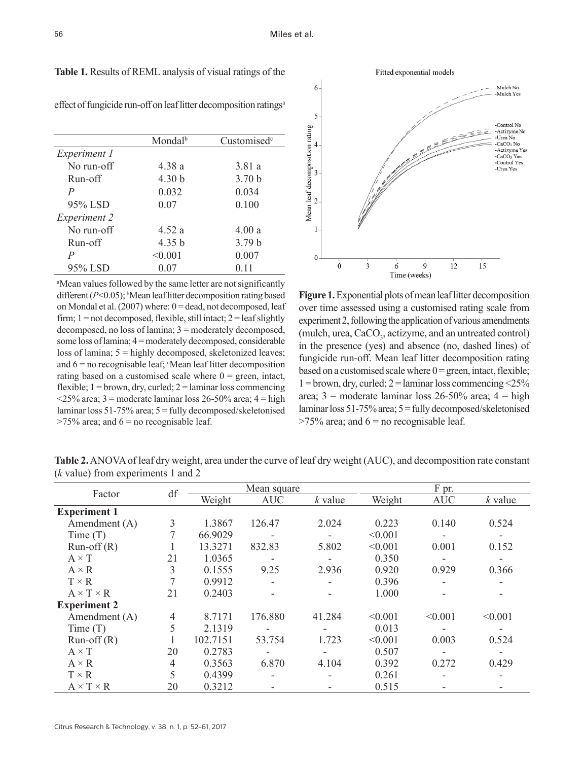6

|                     | Mondal <sup>b</sup> | Customised <sup>c</sup> |
|---------------------|---------------------|-------------------------|
| <i>Experiment 1</i> |                     |                         |
| No run-off          | 4.38 a              | 3.81a                   |
| Run-off             | 4.30 <sub>b</sub>   | 3.70 <sub>b</sub>       |
| $\overline{P}$      | 0.032               | 0.034                   |
| 95% LSD             | 0.07                | 0.100                   |
| Experiment 2        |                     |                         |
| No run-off          | 4.52 a              | 4.00a                   |
| Run-off             | 4.35 <sub>b</sub>   | 3.79 <sub>b</sub>       |
| $\overline{P}$      | < 0.001             | 0.007                   |
| 95% LSD             | 0.07                | 0.11                    |

**Table 1.** Results of REML analysis of visual ratings of the

|                                               | 5                                                     |   |              |   |    |
|-----------------------------------------------|-------------------------------------------------------|---|--------------|---|----|
| Customised <sup>c</sup>                       |                                                       |   |              |   |    |
| 3.81 a<br>3.70 <sub>b</sub><br>0.034<br>0.100 | Mean leaf decomposition rating<br>3<br>$\overline{2}$ |   |              |   |    |
| 4.00a                                         |                                                       |   |              |   |    |
| 3.79 <sub>b</sub>                             |                                                       |   |              |   |    |
| 0.007                                         | $\mathbf{0}$                                          |   |              |   |    |
| 0.11                                          | 0                                                     | 3 |              | 9 | 12 |
|                                               |                                                       |   | Time (weeks) |   |    |

effect of fungicide run-off on leaf litter decomposition ratings<sup>a</sup>

a Mean values followed by the same letter are not significantly different  $(P<0.05)$ ; <sup>b</sup>Mean leaf litter decomposition rating based on Mondal et al.  $(2007)$  where:  $0 =$  dead, not decomposed, leaf firm;  $1 = not decomposed$ , flexible, still intact;  $2 = leaf$  slightly decomposed, no loss of lamina; 3 = moderately decomposed, some loss of lamina; 4 = moderately decomposed, considerable loss of lamina; 5 = highly decomposed, skeletonized leaves; and  $6$  = no recognisable leaf;  $Mean$  leaf litter decomposition rating based on a customised scale where  $0 =$  green, intact, flexible;  $1 =$ brown, dry, curled;  $2 =$ laminar loss commencing  $\langle 25\% \text{ area}; 3 \rangle$  = moderate laminar loss 26-50% area; 4 = high laminar loss 51-75% area; 5 = fully decomposed/skeletonised  $>75\%$  area; and  $6 =$  no recognisable leaf.

**Figure 1.** Exponential plots of mean leaf litter decomposition over time assessed using a customised rating scale from experiment 2, following the application of various amendments (mulch, urea, CaCO<sub>3</sub>, actizyme, and an untreated control) in the presence (yes) and absence (no, dashed lines) of fungicide run-off. Mean leaf litter decomposition rating based on a customised scale where  $0 =$  green, intact, flexible;  $1 =$ brown, dry, curled;  $2 =$ laminar loss commencing <25% area;  $3 =$  moderate laminar loss 26-50% area;  $4 =$ high laminar loss 51-75% area; 5 = fully decomposed/skeletonised  $>75\%$  area; and  $6 =$  no recognisable leaf.

Fitted exponential models

 $-$  -Mulch No -Mulch Yes

> -Control No -Actizyme No<br>-Urea No  $-CaCO<sub>3</sub>$  No -Actizyme Yes -CaCO<sub>3</sub> Yes<br>-Control Yes -Urea Yes

 $15$ 

| Factor                | df             | Mean square |            |           |         | F pr.      |           |  |
|-----------------------|----------------|-------------|------------|-----------|---------|------------|-----------|--|
|                       |                | Weight      | <b>AUC</b> | $k$ value | Weight  | <b>AUC</b> | $k$ value |  |
| <b>Experiment 1</b>   |                |             |            |           |         |            |           |  |
| Amendment (A)         | 3              | 1.3867      | 126.47     | 2.024     | 0.223   | 0.140      | 0.524     |  |
| Time $(T)$            |                | 66.9029     |            |           | < 0.001 |            |           |  |
| $Run-off(R)$          |                | 13.3271     | 832.83     | 5.802     | < 0.001 | 0.001      | 0.152     |  |
| $A \times T$          | 21             | 1.0365      |            |           | 0.350   |            |           |  |
| $A \times R$          | 3              | 0.1555      | 9.25       | 2.936     | 0.920   | 0.929      | 0.366     |  |
| $T \times R$          |                | 0.9912      |            |           | 0.396   |            |           |  |
| $A \times T \times R$ | 21             | 0.2403      |            |           | 1.000   |            |           |  |
| <b>Experiment 2</b>   |                |             |            |           |         |            |           |  |
| Amendment (A)         | $\overline{4}$ | 8.7171      | 176.880    | 41.284    | < 0.001 | < 0.001    | < 0.001   |  |
| Time(T)               | 5              | 2.1319      |            |           | 0.013   |            |           |  |
| $Run-off(R)$          |                | 102.7151    | 53.754     | 1.723     | < 0.001 | 0.003      | 0.524     |  |
| $A \times T$          | 20             | 0.2783      |            |           | 0.507   |            |           |  |
| $A \times R$          | $\overline{4}$ | 0.3563      | 6.870      | 4.104     | 0.392   | 0.272      | 0.429     |  |
| $T \times R$          | 5              | 0.4399      |            |           | 0.261   |            |           |  |
| $A \times T \times R$ | 20             | 0.3212      |            |           | 0.515   |            |           |  |

**Table 2.** ANOVA of leaf dry weight, area under the curve of leaf dry weight (AUC), and decomposition rate constant (*k* value) from experiments 1 and 2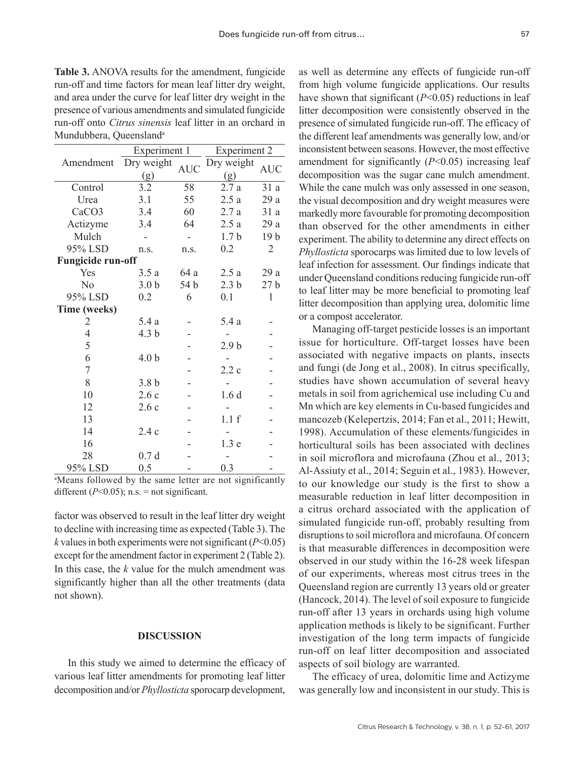**Table 3.** ANOVA results for the amendment, fungicide run-off and time factors for mean leaf litter dry weight, and area under the curve for leaf litter dry weight in the presence of various amendments and simulated fungicide run-off onto *Citrus sinensis* leaf litter in an orchard in Mundubbera, Queensland<sup>a</sup>

|                          | Experiment 1     |            | Experiment 2     |                 |  |
|--------------------------|------------------|------------|------------------|-----------------|--|
| Amendment                | Dry weight       |            | Dry weight       |                 |  |
|                          | (g)              | <b>AUC</b> | (g)              | <b>AUC</b>      |  |
| Control                  | 3.2              | 58         | 2.7a             | 31 a            |  |
| Urea                     | 3.1              | 55         | 2.5a             | 29 a            |  |
| CaCO <sub>3</sub>        | 3.4              | 60         | 2.7a             | 31a             |  |
| Actizyme                 | 3.4              | 64         | 2.5a             | 29 a            |  |
| Mulch                    |                  | ÷,         | 1.7 <sub>b</sub> | 19 <sub>b</sub> |  |
| 95% LSD                  | n.s.             | n.s.       | 0.2              | 2               |  |
| <b>Fungicide run-off</b> |                  |            |                  |                 |  |
| Yes                      | 3.5a             | 64 a       | 2.5a             | 29a             |  |
| N <sub>0</sub>           | 3.0 <sub>b</sub> | 54 b       | 2.3 <sub>b</sub> | 27 <sub>b</sub> |  |
| 95% LSD                  | 0.2              | 6          | 0.1              | 1               |  |
| Time (weeks)             |                  |            |                  |                 |  |
| 2                        | 5.4 a            |            | 5.4 a            |                 |  |
| $\overline{4}$           | 4.3 <sub>b</sub> |            |                  |                 |  |
| 5                        |                  |            | 2.9 <sub>b</sub> |                 |  |
| 6                        | 4.0 <sub>b</sub> |            |                  |                 |  |
| $\boldsymbol{7}$         |                  |            | 2.2c             |                 |  |
| 8                        | 3.8 <sub>b</sub> |            |                  |                 |  |
| 10                       | 2.6c             |            | 1.6 <sub>d</sub> |                 |  |
| 12                       | 2.6c             |            |                  |                 |  |
| 13                       |                  |            | 1.1 f            |                 |  |
| 14                       | 2.4c             |            |                  |                 |  |
| 16                       |                  |            | 1.3 <sub>e</sub> |                 |  |
| 28                       | 0.7 <sub>d</sub> |            |                  |                 |  |
| 95% LSD                  | 0.5              |            | 0.3              |                 |  |

a Means followed by the same letter are not significantly different  $(P<0.05)$ ; n.s. = not significant.

factor was observed to result in the leaf litter dry weight to decline with increasing time as expected (Table 3). The *k* values in both experiments were not significant (*P*<0.05) except for the amendment factor in experiment 2 (Table 2). In this case, the *k* value for the mulch amendment was significantly higher than all the other treatments (data not shown).

#### **DISCUSSION**

In this study we aimed to determine the efficacy of various leaf litter amendments for promoting leaf litter decomposition and/or *Phyllosticta* sporocarp development,

as well as determine any effects of fungicide run-off from high volume fungicide applications. Our results have shown that significant (*P*<0.05) reductions in leaf litter decomposition were consistently observed in the presence of simulated fungicide run-off. The efficacy of the different leaf amendments was generally low, and/or inconsistent between seasons. However, the most effective amendment for significantly (*P*<0.05) increasing leaf decomposition was the sugar cane mulch amendment. While the cane mulch was only assessed in one season, the visual decomposition and dry weight measures were markedly more favourable for promoting decomposition than observed for the other amendments in either experiment. The ability to determine any direct effects on *Phyllosticta* sporocarps was limited due to low levels of leaf infection for assessment. Our findings indicate that under Queensland conditions reducing fungicide run-off to leaf litter may be more beneficial to promoting leaf litter decomposition than applying urea, dolomitic lime or a compost accelerator.

Managing off-target pesticide losses is an important issue for horticulture. Off-target losses have been associated with negative impacts on plants, insects and fungi (de Jong et al., 2008). In citrus specifically, studies have shown accumulation of several heavy metals in soil from agrichemical use including Cu and Mn which are key elements in Cu-based fungicides and mancozeb (Kelepertzis, 2014; Fan et al., 2011; Hewitt, 1998). Accumulation of these elements/fungicides in horticultural soils has been associated with declines in soil microflora and microfauna (Zhou et al., 2013; Al-Assiuty et al., 2014; Seguin et al., 1983). However, to our knowledge our study is the first to show a measurable reduction in leaf litter decomposition in a citrus orchard associated with the application of simulated fungicide run-off, probably resulting from disruptions to soil microflora and microfauna. Of concern is that measurable differences in decomposition were observed in our study within the 16-28 week lifespan of our experiments, whereas most citrus trees in the Queensland region are currently 13 years old or greater (Hancock, 2014). The level of soil exposure to fungicide run-off after 13 years in orchards using high volume application methods is likely to be significant. Further investigation of the long term impacts of fungicide run-off on leaf litter decomposition and associated aspects of soil biology are warranted.

The efficacy of urea, dolomitic lime and Actizyme was generally low and inconsistent in our study. This is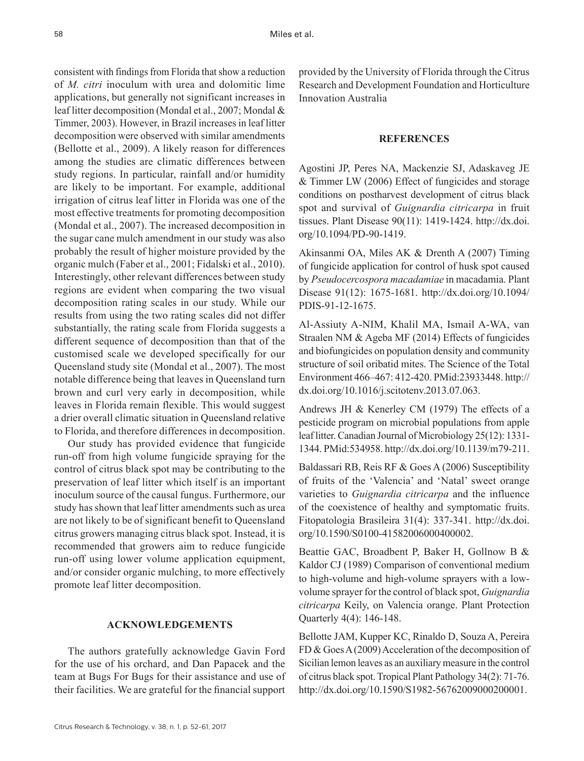consistent with findings from Florida that show a reduction of *M. citri* inoculum with urea and dolomitic lime applications, but generally not significant increases in leaf litter decomposition (Mondal et al., 2007; Mondal & Timmer, 2003). However, in Brazil increases in leaf litter decomposition were observed with similar amendments (Bellotte et al., 2009). A likely reason for differences among the studies are climatic differences between study regions. In particular, rainfall and/or humidity are likely to be important. For example, additional irrigation of citrus leaf litter in Florida was one of the most effective treatments for promoting decomposition (Mondal et al., 2007). The increased decomposition in the sugar cane mulch amendment in our study was also probably the result of higher moisture provided by the organic mulch (Faber et al., 2001; Fidalski et al., 2010). Interestingly, other relevant differences between study regions are evident when comparing the two visual decomposition rating scales in our study. While our results from using the two rating scales did not differ substantially, the rating scale from Florida suggests a different sequence of decomposition than that of the customised scale we developed specifically for our Queensland study site (Mondal et al., 2007). The most notable difference being that leaves in Queensland turn brown and curl very early in decomposition, while leaves in Florida remain flexible. This would suggest a drier overall climatic situation in Queensland relative to Florida, and therefore differences in decomposition.

Our study has provided evidence that fungicide run-off from high volume fungicide spraying for the control of citrus black spot may be contributing to the preservation of leaf litter which itself is an important inoculum source of the causal fungus. Furthermore, our study has shown that leaf litter amendments such as urea are not likely to be of significant benefit to Queensland citrus growers managing citrus black spot. Instead, it is recommended that growers aim to reduce fungicide run-off using lower volume application equipment, and/or consider organic mulching, to more effectively promote leaf litter decomposition.

# **ACKNOWLEDGEMENTS**

The authors gratefully acknowledge Gavin Ford for the use of his orchard, and Dan Papacek and the team at Bugs For Bugs for their assistance and use of their facilities. We are grateful for the financial support provided by the University of Florida through the Citrus Research and Development Foundation and Horticulture Innovation Australia

# **REFERENCES**

Agostini JP, Peres NA, Mackenzie SJ, Adaskaveg JE & Timmer LW (2006) Effect of fungicides and storage conditions on postharvest development of citrus black spot and survival of *Guignardia citricarpa* in fruit tissues. Plant Disease 90(11): 1419-1424. [http://dx.doi.](http://dx.doi.org/10.1094/PD-90-1419) [org/10.1094/PD-90-1419](http://dx.doi.org/10.1094/PD-90-1419).

Akinsanmi OA, Miles AK & Drenth A (2007) Timing of fungicide application for control of husk spot caused by *Pseudocercospora macadamiae* in macadamia. Plant Disease 91(12): 1675-1681. [http://dx.doi.org/10.1094/](http://dx.doi.org/10.1094/PDIS-91-12-1675) [PDIS-91-12-1675.](http://dx.doi.org/10.1094/PDIS-91-12-1675)

Al-Assiuty A-NIM, Khalil MA, Ismail A-WA, van Straalen NM & Ageba MF (2014) Effects of fungicides and biofungicides on population density and community structure of soil oribatid mites. The Science of the Total Environment 466–467: 412-420. [PMid:23933448.](http://www.ncbi.nlm.nih.gov/entrez/query.fcgi?cmd=Retrieve&db=PubMed&list_uids=23933448&dopt=Abstract) [http://](http://dx.doi.org/10.1016/j.scitotenv.2013.07.063) [dx.doi.org/10.1016/j.scitotenv.2013.07.063.](http://dx.doi.org/10.1016/j.scitotenv.2013.07.063)

Andrews JH & Kenerley CM (1979) The effects of a pesticide program on microbial populations from apple leaf litter. Canadian Journal of Microbiology 25(12): 1331- 1344[. PMid:534958.](http://www.ncbi.nlm.nih.gov/entrez/query.fcgi?cmd=Retrieve&db=PubMed&list_uids=534958&dopt=Abstract) <http://dx.doi.org/10.1139/m79-211>.

Baldassari RB, Reis RF & Goes A (2006) Susceptibility of fruits of the 'Valencia' and 'Natal' sweet orange varieties to *Guignardia citricarpa* and the influence of the coexistence of healthy and symptomatic fruits. Fitopatologia Brasileira 31(4): 337-341. [http://dx.doi.](http://dx.doi.org/10.1590/S0100-41582006000400002) [org/10.1590/S0100-41582006000400002](http://dx.doi.org/10.1590/S0100-41582006000400002).

Beattie GAC, Broadbent P, Baker H, Gollnow B & Kaldor CJ (1989) Comparison of conventional medium to high-volume and high-volume sprayers with a lowvolume sprayer for the control of black spot, *Guignardia citricarpa* Keily, on Valencia orange. Plant Protection Quarterly 4(4): 146-148.

Bellotte JAM, Kupper KC, Rinaldo D, Souza A, Pereira FD & Goes A (2009) Acceleration of the decomposition of Sicilian lemon leaves as an auxiliary measure in the control of citrus black spot. Tropical Plant Pathology 34(2): 71-76. [http://dx.doi.org/10.1590/S1982-56762009000200001.](http://dx.doi.org/10.1590/S1982-56762009000200001)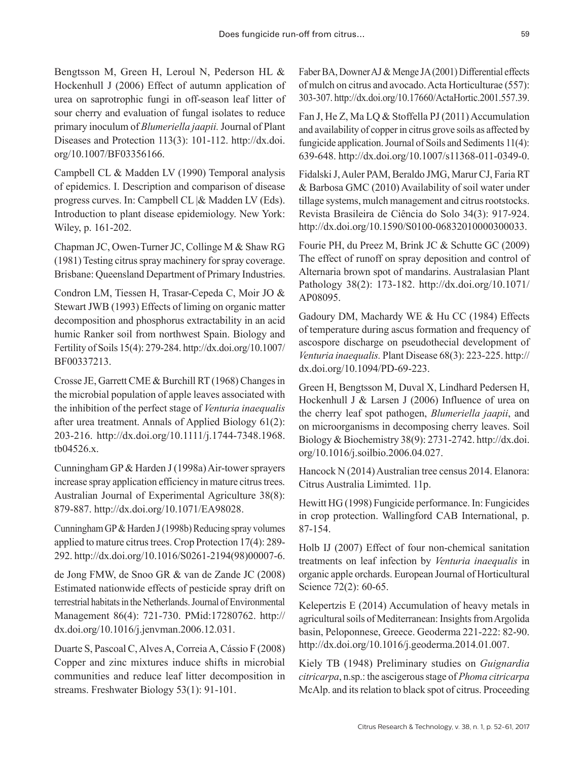Bengtsson M, Green H, Leroul N, Pederson HL & Hockenhull J (2006) Effect of autumn application of urea on saprotrophic fungi in off-season leaf litter of sour cherry and evaluation of fungal isolates to reduce primary inoculum of *Blumeriella jaapii.* Journal of Plant Diseases and Protection 113(3): 101-112. [http://dx.doi.](http://dx.doi.org/10.1007/BF03356166) [org/10.1007/BF03356166](http://dx.doi.org/10.1007/BF03356166).

Campbell CL & Madden LV (1990) Temporal analysis of epidemics. I. Description and comparison of disease progress curves. In: Campbell CL |& Madden LV (Eds). Introduction to plant disease epidemiology. New York: Wiley, p. 161-202.

Chapman JC, Owen-Turner JC, Collinge M & Shaw RG (1981) Testing citrus spray machinery for spray coverage. Brisbane: Queensland Department of Primary Industries.

Condron LM, Tiessen H, Trasar-Cepeda C, Moir JO & Stewart JWB (1993) Effects of liming on organic matter decomposition and phosphorus extractability in an acid humic Ranker soil from northwest Spain. Biology and Fertility of Soils 15(4): 279-284. [http://dx.doi.org/10.1007/](http://dx.doi.org/10.1007/BF00337213) [BF00337213.](http://dx.doi.org/10.1007/BF00337213)

Crosse JE, Garrett CME & Burchill RT (1968) Changes in the microbial population of apple leaves associated with the inhibition of the perfect stage of *Venturia inaequalis* after urea treatment. Annals of Applied Biology 61(2): 203-216. [http://dx.doi.org/10.1111/j.1744-7348.1968.](http://dx.doi.org/10.1111/j.1744-7348.1968.tb04526.x) [tb04526.x.](http://dx.doi.org/10.1111/j.1744-7348.1968.tb04526.x)

Cunningham GP & Harden J (1998a) Air-tower sprayers increase spray application efficiency in mature citrus trees. Australian Journal of Experimental Agriculture 38(8): 879-887. [http://dx.doi.org/10.1071/EA98028.](http://dx.doi.org/10.1071/EA98028)

Cunningham GP & Harden J (1998b) Reducing spray volumes applied to mature citrus trees. Crop Protection 17(4): 289- 292. [http://dx.doi.org/10.1016/S0261-2194\(98\)00007-6.](http://dx.doi.org/10.1016/S0261-2194(98)00007-6)

de Jong FMW, de Snoo GR & van de Zande JC (2008) Estimated nationwide effects of pesticide spray drift on terrestrial habitats in the Netherlands. Journal of Environmental Management 86(4): 721-730. [PMid:17280762.](http://www.ncbi.nlm.nih.gov/entrez/query.fcgi?cmd=Retrieve&db=PubMed&list_uids=17280762&dopt=Abstract) [http://](http://dx.doi.org/10.1016/j.jenvman.2006.12.031) [dx.doi.org/10.1016/j.jenvman.2006.12.031.](http://dx.doi.org/10.1016/j.jenvman.2006.12.031)

Duarte S, Pascoal C, Alves A, Correia A, Cássio F (2008) Copper and zinc mixtures induce shifts in microbial communities and reduce leaf litter decomposition in streams. Freshwater Biology 53(1): 91-101.

Faber BA, Downer AJ & Menge JA (2001) Differential effects of mulch on citrus and avocado. Acta Horticulturae (557): 303-307.<http://dx.doi.org/10.17660/ActaHortic.2001.557.39>.

Fan J, He Z, Ma LQ & Stoffella PJ (2011) Accumulation and availability of copper in citrus grove soils as affected by fungicide application. Journal of Soils and Sediments 11(4): 639-648.<http://dx.doi.org/10.1007/s11368-011-0349-0>.

Fidalski J, Auler PAM, Beraldo JMG, Marur CJ, Faria RT & Barbosa GMC (2010) Availability of soil water under tillage systems, mulch management and citrus rootstocks. Revista Brasileira de Ciência do Solo 34(3): 917-924. [http://dx.doi.org/10.1590/S0100-06832010000300033.](http://dx.doi.org/10.1590/S0100-06832010000300033)

Fourie PH, du Preez M, Brink JC & Schutte GC (2009) The effect of runoff on spray deposition and control of Alternaria brown spot of mandarins. Australasian Plant Pathology 38(2): 173-182. [http://dx.doi.org/10.1071/](http://dx.doi.org/10.1071/AP08095) [AP08095.](http://dx.doi.org/10.1071/AP08095)

Gadoury DM, Machardy WE & Hu CC (1984) Effects of temperature during ascus formation and frequency of ascospore discharge on pseudothecial development of *Venturia inaequalis.* Plant Disease 68(3): 223-225. [http://](http://dx.doi.org/10.1094/PD-69-223) [dx.doi.org/10.1094/PD-69-223](http://dx.doi.org/10.1094/PD-69-223).

Green H, Bengtsson M, Duval X, Lindhard Pedersen H, Hockenhull J & Larsen J (2006) Influence of urea on the cherry leaf spot pathogen, *Blumeriella jaapii*, and on microorganisms in decomposing cherry leaves. Soil Biology & Biochemistry 38(9): 2731-2742. [http://dx.doi.](http://dx.doi.org/10.1016/j.soilbio.2006.04.027) [org/10.1016/j.soilbio.2006.04.027.](http://dx.doi.org/10.1016/j.soilbio.2006.04.027)

Hancock N (2014) Australian tree census 2014. Elanora: Citrus Australia Limimted. 11p.

Hewitt HG (1998) Fungicide performance. In: Fungicides in crop protection. Wallingford CAB International, p. 87-154.

Holb IJ (2007) Effect of four non-chemical sanitation treatments on leaf infection by *Venturia inaequalis* in organic apple orchards. European Journal of Horticultural Science 72(2): 60-65.

Kelepertzis E (2014) Accumulation of heavy metals in agricultural soils of Mediterranean: Insights from Argolida basin, Peloponnese, Greece. Geoderma 221-222: 82-90. <http://dx.doi.org/10.1016/j.geoderma.2014.01.007>.

Kiely TB (1948) Preliminary studies on *Guignardia citricarpa*, n.sp.: the ascigerous stage of *Phoma citricarpa* McAlp. and its relation to black spot of citrus. Proceeding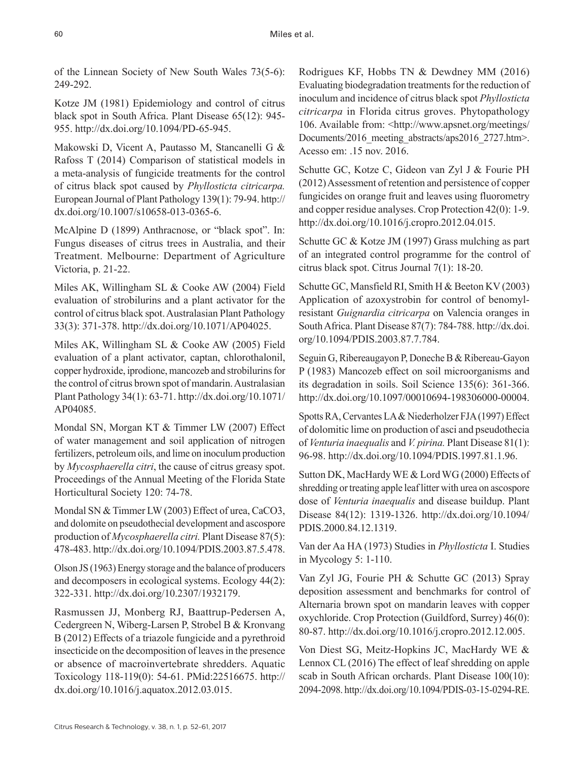of the Linnean Society of New South Wales 73(5-6): 249-292.

Kotze JM (1981) Epidemiology and control of citrus black spot in South Africa. Plant Disease 65(12): 945- 955. [http://dx.doi.org/10.1094/PD-65-945.](http://dx.doi.org/10.1094/PD-65-945)

Makowski D, Vicent A, Pautasso M, Stancanelli G & Rafoss T (2014) Comparison of statistical models in a meta-analysis of fungicide treatments for the control of citrus black spot caused by *Phyllosticta citricarpa.* European Journal of Plant Pathology 139(1): 79-94. [http://](http://dx.doi.org/10.1007/s10658-013-0365-6) [dx.doi.org/10.1007/s10658-013-0365-6](http://dx.doi.org/10.1007/s10658-013-0365-6).

McAlpine D (1899) Anthracnose, or "black spot". In: Fungus diseases of citrus trees in Australia, and their Treatment. Melbourne: Department of Agriculture Victoria, p. 21-22.

Miles AK, Willingham SL & Cooke AW (2004) Field evaluation of strobilurins and a plant activator for the control of citrus black spot. Australasian Plant Pathology 33(3): 371-378. [http://dx.doi.org/10.1071/AP04025.](http://dx.doi.org/10.1071/AP04025)

Miles AK, Willingham SL & Cooke AW (2005) Field evaluation of a plant activator, captan, chlorothalonil, copper hydroxide, iprodione, mancozeb and strobilurins for the control of citrus brown spot of mandarin. Australasian Plant Pathology 34(1): 63-71. [http://dx.doi.org/10.1071/](http://dx.doi.org/10.1071/AP04085) [AP04085.](http://dx.doi.org/10.1071/AP04085)

Mondal SN, Morgan KT & Timmer LW (2007) Effect of water management and soil application of nitrogen fertilizers, petroleum oils, and lime on inoculum production by *Mycosphaerella citri*, the cause of citrus greasy spot. Proceedings of the Annual Meeting of the Florida State Horticultural Society 120: 74-78.

Mondal SN & Timmer LW (2003) Effect of urea, CaCO3, and dolomite on pseudothecial development and ascospore production of *Mycosphaerella citri.* Plant Disease 87(5): 478-483. [http://dx.doi.org/10.1094/PDIS.2003.87.5.478.](http://dx.doi.org/10.1094/PDIS.2003.87.5.478)

Olson JS (1963) Energy storage and the balance of producers and decomposers in ecological systems. Ecology 44(2): 322-331.<http://dx.doi.org/10.2307/1932179>.

Rasmussen JJ, Monberg RJ, Baattrup-Pedersen A, Cedergreen N, Wiberg-Larsen P, Strobel B & Kronvang B (2012) Effects of a triazole fungicide and a pyrethroid insecticide on the decomposition of leaves in the presence or absence of macroinvertebrate shredders. Aquatic Toxicology 118-119(0): 54-61. [PMid:22516675.](http://www.ncbi.nlm.nih.gov/entrez/query.fcgi?cmd=Retrieve&db=PubMed&list_uids=22516675&dopt=Abstract) [http://](http://dx.doi.org/10.1016/j.aquatox.2012.03.015) [dx.doi.org/10.1016/j.aquatox.2012.03.015.](http://dx.doi.org/10.1016/j.aquatox.2012.03.015)

Rodrigues KF, Hobbs TN & Dewdney MM (2016) Evaluating biodegradation treatments for the reduction of inoculum and incidence of citrus black spot *Phyllosticta citricarpa* in Florida citrus groves. Phytopathology 106. Available from: <http://www.apsnet.org/meetings/ Documents/2016 meeting abstracts/aps2016 2727.htm>. Acesso em: .15 nov. 2016.

Schutte GC, Kotze C, Gideon van Zyl J & Fourie PH (2012) Assessment of retention and persistence of copper fungicides on orange fruit and leaves using fluorometry and copper residue analyses. Crop Protection 42(0): 1-9. [http://dx.doi.org/10.1016/j.cropro.2012.04.015.](http://dx.doi.org/10.1016/j.cropro.2012.04.015)

Schutte GC & Kotze JM (1997) Grass mulching as part of an integrated control programme for the control of citrus black spot. Citrus Journal 7(1): 18-20.

Schutte GC, Mansfield RI, Smith H & Beeton KV (2003) Application of azoxystrobin for control of benomylresistant *Guignardia citricarpa* on Valencia oranges in South Africa. Plant Disease 87(7): 784-788. [http://dx.doi.](http://dx.doi.org/10.1094/PDIS.2003.87.7.784) [org/10.1094/PDIS.2003.87.7.784](http://dx.doi.org/10.1094/PDIS.2003.87.7.784).

Seguin G, Ribereaugayon P, Doneche B & Ribereau-Gayon P (1983) Mancozeb effect on soil microorganisms and its degradation in soils. Soil Science 135(6): 361-366. <http://dx.doi.org/10.1097/00010694-198306000-00004>.

Spotts RA, Cervantes LA & Niederholzer FJA (1997) Effect of dolomitic lime on production of asci and pseudothecia of *Venturia inaequalis* and *V. pirina.* Plant Disease 81(1): 96-98. [http://dx.doi.org/10.1094/PDIS.1997.81.1.96.](http://dx.doi.org/10.1094/PDIS.1997.81.1.96)

Sutton DK, MacHardy WE & Lord WG (2000) Effects of shredding or treating apple leaf litter with urea on ascospore dose of *Venturia inaequalis* and disease buildup. Plant Disease 84(12): 1319-1326. [http://dx.doi.org/10.1094/](http://dx.doi.org/10.1094/PDIS.2000.84.12.1319) [PDIS.2000.84.12.1319.](http://dx.doi.org/10.1094/PDIS.2000.84.12.1319)

Van der Aa HA (1973) Studies in *Phyllosticta* I. Studies in Mycology 5: 1-110.

Van Zyl JG, Fourie PH & Schutte GC (2013) Spray deposition assessment and benchmarks for control of Alternaria brown spot on mandarin leaves with copper oxychloride. Crop Protection (Guildford, Surrey) 46(0): 80-87. <http://dx.doi.org/10.1016/j.cropro.2012.12.005>.

Von Diest SG, Meitz-Hopkins JC, MacHardy WE & Lennox CL (2016) The effect of leaf shredding on apple scab in South African orchards. Plant Disease 100(10): 2094-2098.<http://dx.doi.org/10.1094/PDIS-03-15-0294-RE>.